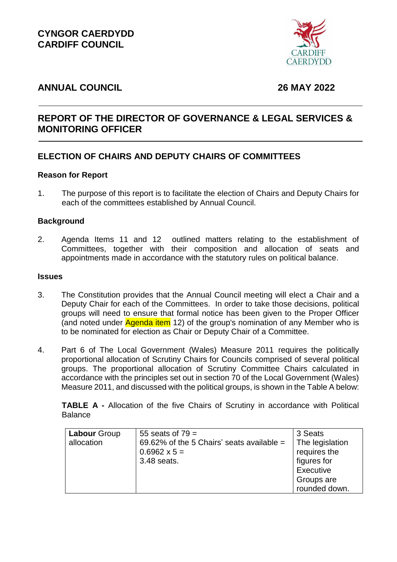

# **ANNUAL COUNCIL 26 MAY 2022**

# **REPORT OF THE DIRECTOR OF GOVERNANCE & LEGAL SERVICES & MONITORING OFFICER**

# **ELECTION OF CHAIRS AND DEPUTY CHAIRS OF COMMITTEES**

## **Reason for Report**

1. The purpose of this report is to facilitate the election of Chairs and Deputy Chairs for each of the committees established by Annual Council.

### **Background**

2. Agenda Items 11 and 12 outlined matters relating to the establishment of Committees, together with their composition and allocation of seats and appointments made in accordance with the statutory rules on political balance.

#### **Issues**

- 3. The Constitution provides that the Annual Council meeting will elect a Chair and a Deputy Chair for each of the Committees. In order to take those decisions, political groups will need to ensure that formal notice has been given to the Proper Officer (and noted under Agenda item 12) of the group's nomination of any Member who is to be nominated for election as Chair or Deputy Chair of a Committee.
- 4. Part 6 of The Local Government (Wales) Measure 2011 requires the politically proportional allocation of Scrutiny Chairs for Councils comprised of several political groups. The proportional allocation of Scrutiny Committee Chairs calculated in accordance with the principles set out in section 70 of the Local Government (Wales) Measure 2011, and discussed with the political groups, is shown in the Table A below:

**TABLE A -** Allocation of the five Chairs of Scrutiny in accordance with Political Balance

| <b>Labour Group</b> | 55 seats of $79 =$                        | 3 Seats         |
|---------------------|-------------------------------------------|-----------------|
| allocation          | 69.62% of the 5 Chairs' seats available = | The legislation |
|                     | $0.6962 \times 5 =$                       | requires the    |
|                     | 3.48 seats.                               | figures for     |
|                     |                                           | Executive       |
|                     |                                           | Groups are      |
|                     |                                           | rounded down.   |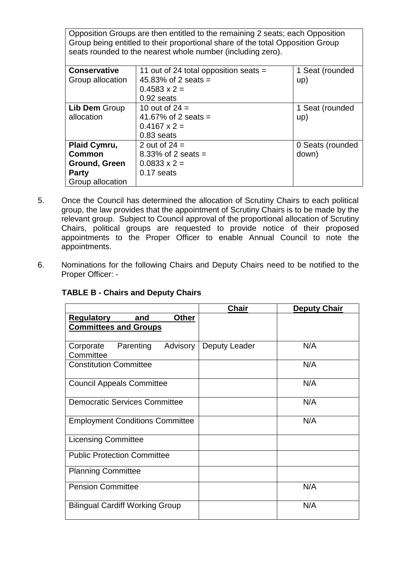Opposition Groups are then entitled to the remaining 2 seats; each Opposition Group being entitled to their proportional share of the total Opposition Group seats rounded to the nearest whole number (including zero).

| <b>Conservative</b> | 11 out of 24 total opposition seats $=$ | 1 Seat (rounded  |
|---------------------|-----------------------------------------|------------------|
| Group allocation    | 45.83% of 2 seats =                     | up)              |
|                     | $0.4583 \times 2 =$                     |                  |
|                     | 0.92 seats                              |                  |
| Lib Dem Group       | 10 out of $24 =$                        | 1 Seat (rounded  |
| allocation          | 41.67% of 2 seats =                     | up)              |
|                     | $0.4167 \times 2 =$                     |                  |
|                     | $0.83$ seats                            |                  |
| Plaid Cymru,        | 2 out of $24 =$                         | 0 Seats (rounded |
| Common              | 8.33% of 2 seats $=$                    | down)            |
| Ground, Green       | $0.0833 \times 2 =$                     |                  |
| <b>Party</b>        | 0.17 seats                              |                  |
| Group allocation    |                                         |                  |

- 5. Once the Council has determined the allocation of Scrutiny Chairs to each political group, the law provides that the appointment of Scrutiny Chairs is to be made by the relevant group. Subject to Council approval of the proportional allocation of Scrutiny Chairs, political groups are requested to provide notice of their proposed appointments to the Proper Officer to enable Annual Council to note the appointments.
- 6. Nominations for the following Chairs and Deputy Chairs need to be notified to the Proper Officer: -

|                                                                          | <b>Chair</b>  | <b>Deputy Chair</b> |
|--------------------------------------------------------------------------|---------------|---------------------|
| <b>Regulatory</b><br><b>Other</b><br>and<br><b>Committees and Groups</b> |               |                     |
| Parenting<br>Advisory<br>Corporate<br>Committee                          | Deputy Leader | N/A                 |
| <b>Constitution Committee</b>                                            |               | N/A                 |
| <b>Council Appeals Committee</b>                                         |               | N/A                 |
| <b>Democratic Services Committee</b>                                     |               | N/A                 |
| <b>Employment Conditions Committee</b>                                   |               | N/A                 |
| <b>Licensing Committee</b>                                               |               |                     |
| <b>Public Protection Committee</b>                                       |               |                     |
| <b>Planning Committee</b>                                                |               |                     |
| <b>Pension Committee</b>                                                 |               | N/A                 |
| <b>Bilingual Cardiff Working Group</b>                                   |               | N/A                 |

## **TABLE B - Chairs and Deputy Chairs**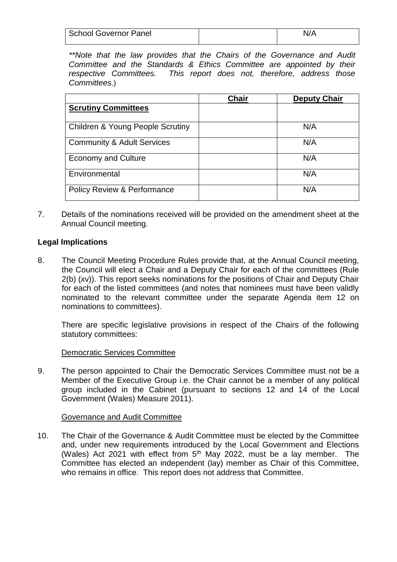| <b>School Governor Panel</b> | N/A |
|------------------------------|-----|
|                              |     |

*\*\*Note that the law provides that the Chairs of the Governance and Audit Committee and the Standards & Ethics Committee are appointed by their respective Committees. This report does not, therefore, address those Committees*.)

|                                             | Chair | <b>Deputy Chair</b> |
|---------------------------------------------|-------|---------------------|
| <b>Scrutiny Committees</b>                  |       |                     |
| <b>Children &amp; Young People Scrutiny</b> |       | N/A                 |
| <b>Community &amp; Adult Services</b>       |       | N/A                 |
| <b>Economy and Culture</b>                  |       | N/A                 |
| Environmental                               |       | N/A                 |
| <b>Policy Review &amp; Performance</b>      |       | N/A                 |

7. Details of the nominations received will be provided on the amendment sheet at the Annual Council meeting.

### **Legal Implications**

8. The Council Meeting Procedure Rules provide that, at the Annual Council meeting, the Council will elect a Chair and a Deputy Chair for each of the committees (Rule 2(b) (xv)). This report seeks nominations for the positions of Chair and Deputy Chair for each of the listed committees (and notes that nominees must have been validly nominated to the relevant committee under the separate Agenda item 12 on nominations to committees).

There are specific legislative provisions in respect of the Chairs of the following statutory committees:

#### Democratic Services Committee

9. The person appointed to Chair the Democratic Services Committee must not be a Member of the Executive Group i.e. the Chair cannot be a member of any political group included in the Cabinet (pursuant to sections 12 and 14 of the Local Government (Wales) Measure 2011).

#### Governance and Audit Committee

10. The Chair of the Governance & Audit Committee must be elected by the Committee and, under new requirements introduced by the Local Government and Elections (Wales) Act 2021 with effect from  $5<sup>th</sup>$  May 2022, must be a lay member. The Committee has elected an independent (lay) member as Chair of this Committee, who remains in office. This report does not address that Committee.